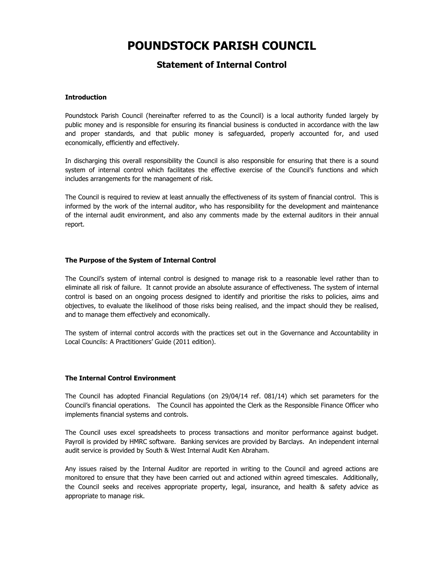# **POUNDSTOCK PARISH COUNCIL**

## **Statement of Internal Control**

### **Introduction**

Poundstock Parish Council (hereinafter referred to as the Council) is a local authority funded largely by public money and is responsible for ensuring its financial business is conducted in accordance with the law and proper standards, and that public money is safeguarded, properly accounted for, and used economically, efficiently and effectively.

In discharging this overall responsibility the Council is also responsible for ensuring that there is a sound system of internal control which facilitates the effective exercise of the Council's functions and which includes arrangements for the management of risk.

The Council is required to review at least annually the effectiveness of its system of financial control. This is informed by the work of the internal auditor, who has responsibility for the development and maintenance of the internal audit environment, and also any comments made by the external auditors in their annual report.

#### **The Purpose of the System of Internal Control**

The Council's system of internal control is designed to manage risk to a reasonable level rather than to eliminate all risk of failure. It cannot provide an absolute assurance of effectiveness. The system of internal control is based on an ongoing process designed to identify and prioritise the risks to policies, aims and objectives, to evaluate the likelihood of those risks being realised, and the impact should they be realised, and to manage them effectively and economically.

The system of internal control accords with the practices set out in the Governance and Accountability in Local Councils: A Practitioners' Guide (2011 edition).

#### **The Internal Control Environment**

The Council has adopted Financial Regulations (on 29/04/14 ref. 081/14) which set parameters for the Council's financial operations. The Council has appointed the Clerk as the Responsible Finance Officer who implements financial systems and controls.

The Council uses excel spreadsheets to process transactions and monitor performance against budget. Payroll is provided by HMRC software. Banking services are provided by Barclays. An independent internal audit service is provided by South & West Internal Audit Ken Abraham.

Any issues raised by the Internal Auditor are reported in writing to the Council and agreed actions are monitored to ensure that they have been carried out and actioned within agreed timescales. Additionally, the Council seeks and receives appropriate property, legal, insurance, and health & safety advice as appropriate to manage risk.